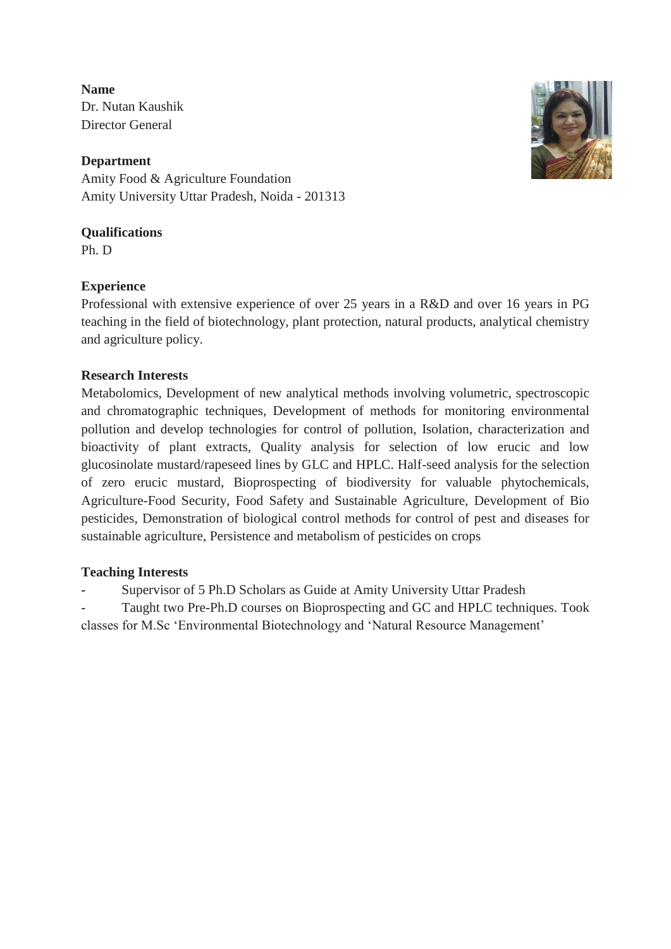**Name**  Dr. Nutan Kaushik Director General

**Department** Amity Food & Agriculture Foundation Amity University Uttar Pradesh, Noida - 201313

## **Qualifications**

Ph. D

## **Experience**

Professional with extensive experience of over 25 years in a R&D and over 16 years in PG teaching in the field of biotechnology, plant protection, natural products, analytical chemistry and agriculture policy.

# **Research Interests**

Metabolomics, Development of new analytical methods involving volumetric, spectroscopic and chromatographic techniques, Development of methods for monitoring environmental pollution and develop technologies for control of pollution, Isolation, characterization and bioactivity of plant extracts, Quality analysis for selection of low erucic and low glucosinolate mustard/rapeseed lines by GLC and HPLC. Half-seed analysis for the selection of zero erucic mustard, Bioprospecting of biodiversity for valuable phytochemicals, Agriculture-Food Security, Food Safety and Sustainable Agriculture, Development of Bio pesticides, Demonstration of biological control methods for control of pest and diseases for sustainable agriculture, Persistence and metabolism of pesticides on crops

### **Teaching Interests**

**-** Supervisor of 5 Ph.D Scholars as Guide at Amity University Uttar Pradesh

Taught two Pre-Ph.D courses on Bioprospecting and GC and HPLC techniques. Took classes for M.Sc 'Environmental Biotechnology and 'Natural Resource Management'

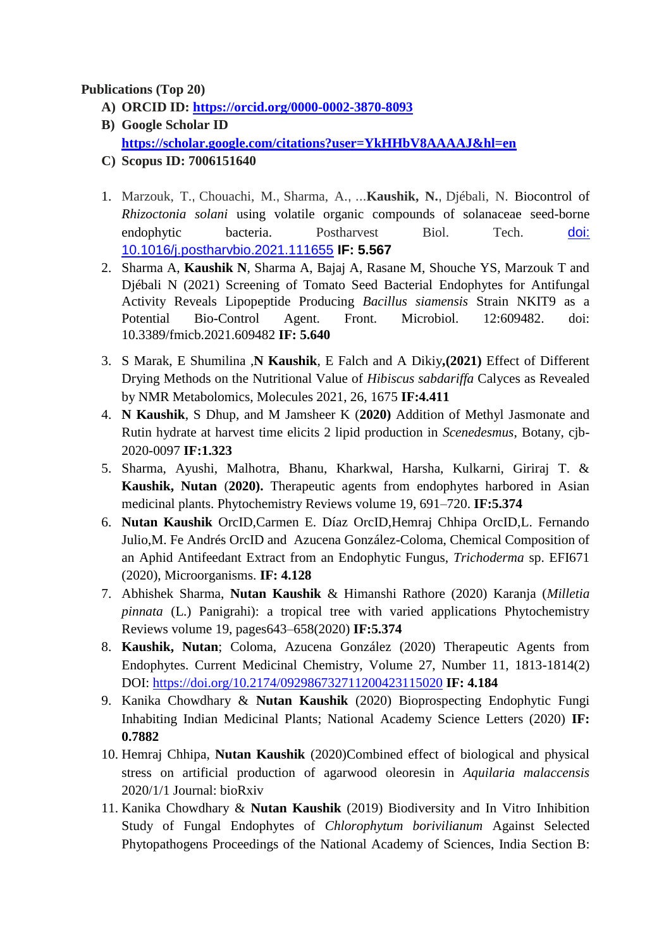### **Publications (Top 20)**

- **A) ORCID ID: <https://orcid.org/0000-0002-3870-8093>**
- **B) Google Scholar ID <https://scholar.google.com/citations?user=YkHHbV8AAAAJ&hl=en>**
- **C) Scopus ID: 7006151640**
- 1. [Marzouk, T.](https://www.scopus.com/authid/detail.uri?authorId=57219650906), [Chouachi, M.](https://www.scopus.com/authid/detail.uri?authorId=57219652949), [Sharma, A.](https://www.scopus.com/authid/detail.uri?authorId=57217481904), ...**[Kaushik, N.](https://www.scopus.com/authid/detail.uri?authorId=7006151640)**, [Djébali, N.](https://www.scopus.com/authid/detail.uri?authorId=21734004700) Biocontrol of *Rhizoctonia solani* using volatile organic compounds of solanaceae seed-borne endophytic bacteria. Postharvest Biol. Tech. doi: [10.1016/j.postharvbio.2021.111655](https://doi.org/10.1016/j.postharvbio.2021.111655) **IF: 5.567**
- 2. Sharma A, **Kaushik N**, Sharma A, Bajaj A, Rasane M, Shouche YS, Marzouk T and Djébali N (2021) Screening of Tomato Seed Bacterial Endophytes for Antifungal Activity Reveals Lipopeptide Producing *Bacillus siamensis* Strain NKIT9 as a Potential Bio-Control Agent. Front. Microbiol. 12:609482. doi: 10.3389/fmicb.2021.609482 **IF: 5.640**
- 3. S Marak, E Shumilina ,**N Kaushik**, E Falch and A Dikiy**,(2021)** Effect of Different Drying Methods on the Nutritional Value of *Hibiscus sabdariffa* Calyces as Revealed by NMR Metabolomics, Molecules 2021, 26, 1675 **IF:4.411**
- 4. **N Kaushik**, S Dhup, and M Jamsheer K (**2020)** Addition of Methyl Jasmonate and Rutin hydrate at harvest time elicits 2 lipid production in *Scenedesmus*, Botany, cjb-2020-0097 **IF:1.323**
- 5. Sharma, Ayushi, Malhotra, Bhanu, Kharkwal, Harsha, Kulkarni, Giriraj T. & **Kaushik, Nutan** (**2020).** Therapeutic agents from endophytes harbored in Asian medicinal plants. Phytochemistry Reviews volume 19, 691–720. **IF:5.374**
- 6. **Nutan Kaushik** OrcID,Carmen E. Díaz OrcID,Hemraj Chhipa OrcID,L. Fernando Julio,M. Fe Andrés OrcID and Azucena González-Coloma, Chemical Composition of an Aphid Antifeedant Extract from an Endophytic Fungus, *Trichoderma* sp. EFI671 (2020), Microorganisms. **IF: 4.128**
- 7. Abhishek Sharma, **Nutan Kaushik** & Himanshi Rathore (2020) Karanja (*Milletia pinnata* (L.) Panigrahi): a tropical tree with varied applications Phytochemistry Reviews volume 19, pages643–658(2020) **IF:5.374**
- 8. **Kaushik, Nutan**; Coloma, Azucena González (2020) Therapeutic Agents from Endophytes. Current Medicinal Chemistry, Volume 27, Number 11, 1813-1814(2) DOI:<https://doi.org/10.2174/092986732711200423115020> **IF: 4.184**
- 9. Kanika Chowdhary & **Nutan Kaushik** (2020) Bioprospecting Endophytic Fungi Inhabiting Indian Medicinal Plants; National Academy Science Letters (2020) **IF: 0.7882**
- 10. Hemraj Chhipa, **Nutan Kaushik** (2020)Combined effect of biological and physical stress on artificial production of agarwood oleoresin in *Aquilaria malaccensis* 2020/1/1 Journal: bioRxiv
- 11. Kanika Chowdhary & **Nutan Kaushik** (2019) Biodiversity and In Vitro Inhibition Study of Fungal Endophytes of *Chlorophytum borivilianum* Against Selected Phytopathogens Proceedings of the National Academy of Sciences, India Section B: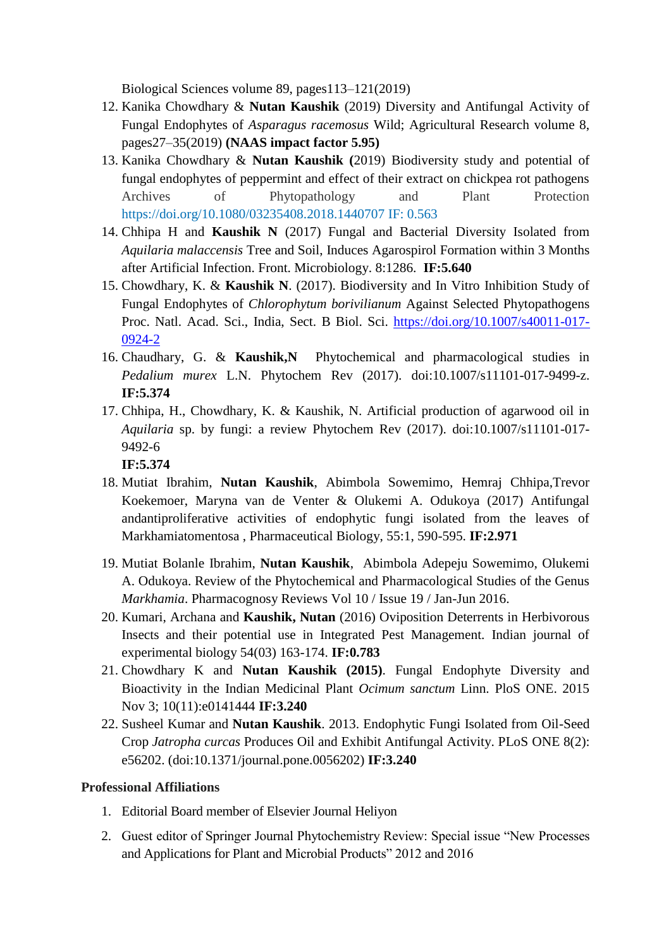Biological Sciences volume 89, pages113–121(2019)

- 12. Kanika Chowdhary & **Nutan Kaushik** (2019) Diversity and Antifungal Activity of Fungal Endophytes of *Asparagus racemosus* Wild; Agricultural Research volume 8, pages27–35(2019) **(NAAS impact factor 5.95)**
- 13. Kanika Chowdhary & **Nutan Kaushik (**2019) Biodiversity study and potential of fungal endophytes of peppermint and effect of their extract on chickpea rot pathogens Archives of Phytopathology and Plant Protection <https://doi.org/10.1080/03235408.2018.1440707> IF: 0.563
- 14. Chhipa H and **Kaushik N** (2017) Fungal and Bacterial Diversity Isolated from *Aquilaria malaccensis* Tree and Soil, Induces Agarospirol Formation within 3 Months after Artificial Infection. Front. Microbiology. 8:1286. **IF:5.640**
- 15. Chowdhary, K. & **Kaushik N**. (2017). Biodiversity and In Vitro Inhibition Study of Fungal Endophytes of *Chlorophytum borivilianum* Against Selected Phytopathogens Proc. Natl. Acad. Sci., India, Sect. B Biol. Sci. [https://doi.org/10.1007/s40011-017-](https://doi.org/10.1007/s40011-017-0924-2) [0924-2](https://doi.org/10.1007/s40011-017-0924-2)
- 16. Chaudhary, G. & **Kaushik,N** Phytochemical and pharmacological studies in *Pedalium murex* L.N. Phytochem Rev (2017). doi:10.1007/s11101-017-9499-z. **IF:5.374**
- 17. Chhipa, H., Chowdhary, K. & Kaushik, N. Artificial production of agarwood oil in *Aquilaria* sp. by fungi: a review Phytochem Rev (2017). doi:10.1007/s11101-017- 9492-6
	- **IF:5.374**
- 18. Mutiat Ibrahim, **Nutan Kaushik**, Abimbola Sowemimo, Hemraj Chhipa,Trevor Koekemoer, Maryna van de Venter & Olukemi A. Odukoya (2017) Antifungal andantiproliferative activities of endophytic fungi isolated from the leaves of Markhamiatomentosa , Pharmaceutical Biology, 55:1, 590-595. **IF:2.971**
- 19. Mutiat Bolanle Ibrahim, **Nutan Kaushik**, Abimbola Adepeju Sowemimo, Olukemi A. Odukoya. Review of the Phytochemical and Pharmacological Studies of the Genus *Markhamia*. Pharmacognosy Reviews Vol 10 / Issue 19 / Jan-Jun 2016.
- 20. Kumari, Archana and **Kaushik, Nutan** (2016) Oviposition Deterrents in Herbivorous Insects and their potential use in Integrated Pest Management. Indian journal of experimental biology 54(03) 163-174. **IF:0.783**
- 21. Chowdhary K and **Nutan Kaushik (2015)**. Fungal Endophyte Diversity and Bioactivity in the Indian Medicinal Plant *Ocimum sanctum* Linn. PloS ONE. 2015 Nov 3; 10(11):e0141444 **IF:3.240**
- 22. Susheel Kumar and **Nutan Kaushik**. 2013. Endophytic Fungi Isolated from Oil-Seed Crop *Jatropha curcas* Produces Oil and Exhibit Antifungal Activity. PLoS ONE 8(2): e56202. (doi:10.1371/journal.pone.0056202) **IF:3.240**

#### **Professional Affiliations**

- 1. Editorial Board member of Elsevier Journal Heliyon
- 2. Guest editor of Springer Journal Phytochemistry Review: Special issue "New Processes and Applications for Plant and Microbial Products" 2012 and 2016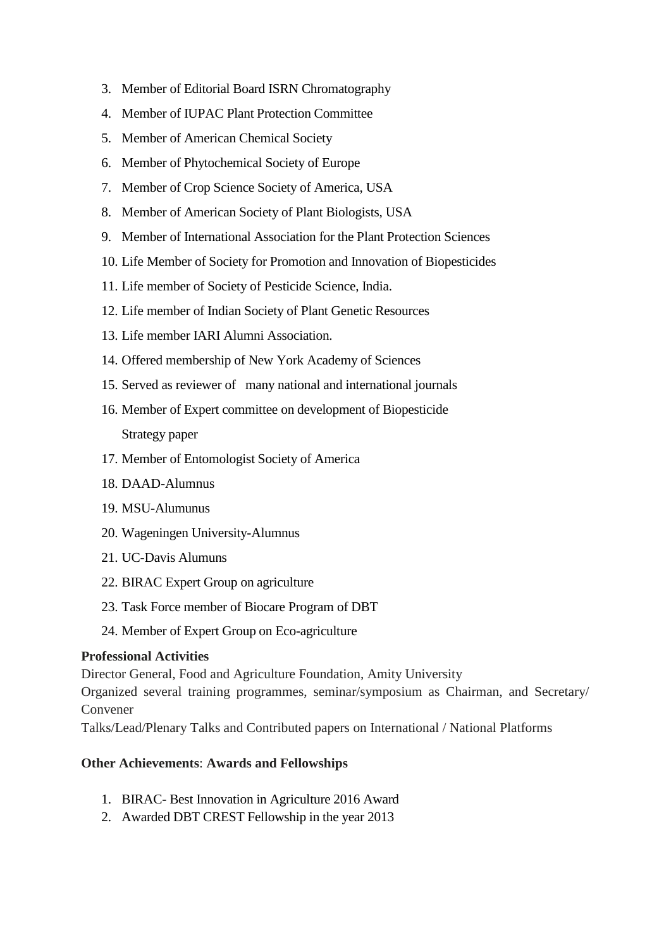- 3. Member of Editorial Board ISRN Chromatography
- 4. Member of IUPAC Plant Protection Committee
- 5. Member of American Chemical Society
- 6. Member of Phytochemical Society of Europe
- 7. Member of Crop Science Society of America, USA
- 8. Member of American Society of Plant Biologists, USA
- 9. Member of International Association for the Plant Protection Sciences
- 10. Life Member of Society for Promotion and Innovation of Biopesticides
- 11. Life member of Society of Pesticide Science, India.
- 12. Life member of Indian Society of Plant Genetic Resources
- 13. Life member IARI Alumni Association.
- 14. Offered membership of New York Academy of Sciences
- 15. Served as reviewer of many national and international journals
- 16. Member of Expert committee on development of Biopesticide Strategy paper
- 17. Member of Entomologist Society of America
- 18. DAAD-Alumnus
- 19. MSU-Alumunus
- 20. Wageningen University-Alumnus
- 21. UC-Davis Alumuns
- 22. BIRAC Expert Group on agriculture
- 23. Task Force member of Biocare Program of DBT
- 24. Member of Expert Group on Eco-agriculture

### **Professional Activities**

Director General, Food and Agriculture Foundation, Amity University

Organized several training programmes, seminar/symposium as Chairman, and Secretary/ Convener

Talks/Lead/Plenary Talks and Contributed papers on International / National Platforms

### **Other Achievements**: **Awards and Fellowships**

- 1. BIRAC- Best Innovation in Agriculture 2016 Award
- 2. Awarded DBT CREST Fellowship in the year 2013